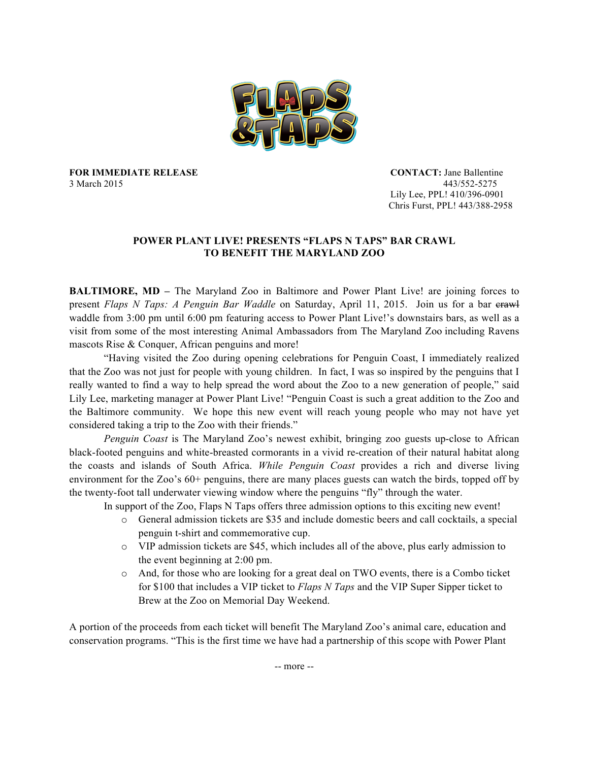

**FOR IMMEDIATE RELEASE CONTACT:** Jane Ballentine 3 March 2015 443/552-5275

 Lily Lee, PPL! 410/396-0901 Chris Furst, PPL! 443/388-2958

## **POWER PLANT LIVE! PRESENTS "FLAPS N TAPS" BAR CRAWL TO BENEFIT THE MARYLAND ZOO**

**BALTIMORE, MD –** The Maryland Zoo in Baltimore and Power Plant Live! are joining forces to present *Flaps N Taps: A Penguin Bar Waddle* on Saturday, April 11, 2015. Join us for a bar erawl waddle from 3:00 pm until 6:00 pm featuring access to Power Plant Live!'s downstairs bars, as well as a visit from some of the most interesting Animal Ambassadors from The Maryland Zoo including Ravens mascots Rise & Conquer, African penguins and more!

"Having visited the Zoo during opening celebrations for Penguin Coast, I immediately realized that the Zoo was not just for people with young children. In fact, I was so inspired by the penguins that I really wanted to find a way to help spread the word about the Zoo to a new generation of people," said Lily Lee, marketing manager at Power Plant Live! "Penguin Coast is such a great addition to the Zoo and the Baltimore community. We hope this new event will reach young people who may not have yet considered taking a trip to the Zoo with their friends."

*Penguin Coast* is The Maryland Zoo's newest exhibit, bringing zoo guests up-close to African black-footed penguins and white-breasted cormorants in a vivid re-creation of their natural habitat along the coasts and islands of South Africa. *While Penguin Coast* provides a rich and diverse living environment for the Zoo's 60+ penguins, there are many places guests can watch the birds, topped off by the twenty-foot tall underwater viewing window where the penguins "fly" through the water.

In support of the Zoo, Flaps N Taps offers three admission options to this exciting new event!

- o General admission tickets are \$35 and include domestic beers and call cocktails, a special penguin t-shirt and commemorative cup.
- o VIP admission tickets are \$45, which includes all of the above, plus early admission to the event beginning at 2:00 pm.
- o And, for those who are looking for a great deal on TWO events, there is a Combo ticket for \$100 that includes a VIP ticket to *Flaps N Taps* and the VIP Super Sipper ticket to Brew at the Zoo on Memorial Day Weekend.

A portion of the proceeds from each ticket will benefit The Maryland Zoo's animal care, education and conservation programs. "This is the first time we have had a partnership of this scope with Power Plant

-- more --